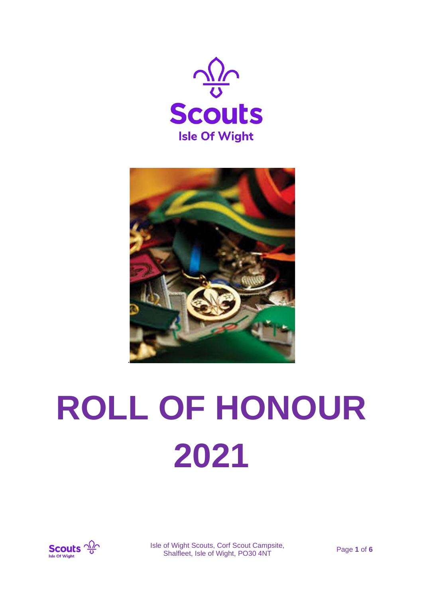



# **ROLL OF HONOUR 2021**



Isle of Wight Scouts, Corf Scout Campsite, or wight Scouts, Corr Scout Campsite,<br>Shalfleet, Isle of Wight, PO30 4NT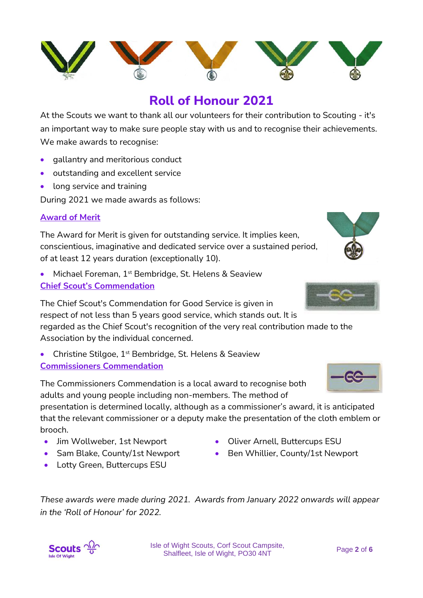

At the Scouts we want to thank all our volunteers for their contribution to Scouting - it's an important way to make sure people stay with us and to recognise their achievements. We make awards to recognise:

- gallantry and meritorious conduct
- outstanding and excellent service
- long service and training

During 2021 we made awards as follows:

#### **Award of Merit**

The Award for Merit is given for outstanding service. It implies keen, conscientious, imaginative and dedicated service over a sustained period, of at least 12 years duration (exceptionally 10).

• Michael Foreman, 1<sup>st</sup> Bembridge, St. Helens & Seaview **Chief Scout's Commendation**

The Chief Scout's Commendation for Good Service is given in respect of not less than 5 years good service, which stands out. It is regarded as the Chief Scout's recognition of the very real contribution made to the Association by the individual concerned.

• Christine Stilgoe, 1<sup>st</sup> Bembridge, St. Helens & Seaview **Commissioners Commendation**

The Commissioners Commendation is a local award to recognise both adults and young people including non-members. The method of

presentation is determined locally, although as a commissioner's award, it is anticipated that the relevant commissioner or a deputy make the presentation of the cloth emblem or brooch.

- Jim Wollweber, 1st Newport
- Sam Blake, County/1st Newport
- Lotty Green, Buttercups ESU
- Oliver Arnell, Buttercups ESU
- Ben Whillier, County/1st Newport

*These awards were made during 2021. Awards from January 2022 onwards will appear in the 'Roll of Honour' for 2022.*







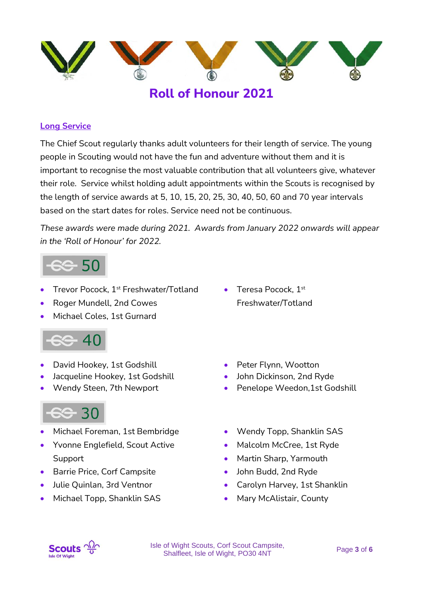

## **Long Service**

The Chief Scout regularly thanks adult volunteers for their length of service. The young people in Scouting would not have the fun and adventure without them and it is important to recognise the most valuable contribution that all volunteers give, whatever their role. Service whilst holding adult appointments within the Scouts is recognised by the length of service awards at 5, 10, 15, 20, 25, 30, 40, 50, 60 and 70 year intervals based on the start dates for roles. Service need not be continuous.

*These awards were made during 2021. Awards from January 2022 onwards will appear in the 'Roll of Honour' for 2022.*

- Trevor Pocock, 1st Freshwater/Totland
- Roger Mundell, 2nd Cowes
- Michael Coles, 1st Gurnard



- David Hookey, 1st Godshill
- Jacqueline Hookey, 1st Godshill
- Wendy Steen, 7th Newport

- Michael Foreman, 1st Bembridge
- Yvonne Englefield, Scout Active Support
- Barrie Price, Corf Campsite
- Julie Quinlan, 3rd Ventnor
- Michael Topp, Shanklin SAS
- Teresa Pocock, 1st Freshwater/Totland
- Peter Flynn, Wootton
- John Dickinson, 2nd Ryde
- Penelope Weedon, 1st Godshill
- Wendy Topp, Shanklin SAS
- Malcolm McCree, 1st Ryde
- Martin Sharp, Yarmouth
- John Budd, 2nd Ryde
- Carolyn Harvey, 1st Shanklin
- Mary McAlistair, County



Isle of Wight Scouts, Corf Scout Campsite, Shalfleet, Isle of Wight, PO30 4NT Page **<sup>3</sup>** of **<sup>6</sup>**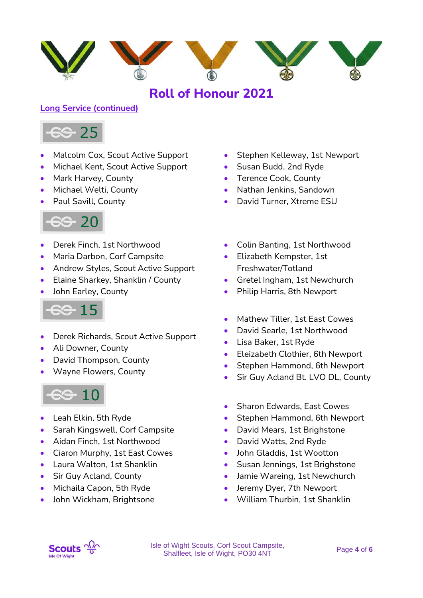

# **Long Service (continued)**



- Malcolm Cox, Scout Active Support
- Michael Kent, Scout Active Support
- Mark Harvey, County
- Michael Welti, County
- Paul Savill, County



- Derek Finch, 1st Northwood
- Maria Darbon, Corf Campsite
- Andrew Styles, Scout Active Support
- Elaine Sharkey, Shanklin / County
- John Earley, County



- Derek Richards, Scout Active Support
- Ali Downer, County
- David Thompson, County
- Wayne Flowers, County



- Leah Elkin, 5th Ryde
- Sarah Kingswell, Corf Campsite
- Aidan Finch, 1st Northwood
- Ciaron Murphy, 1st East Cowes
- Laura Walton, 1st Shanklin
- Sir Guy Acland, County
- Michaila Capon, 5th Ryde
- John Wickham, Brightsone
- Stephen Kelleway, 1st Newport
- Susan Budd, 2nd Ryde
- Terence Cook, County
- Nathan Jenkins, Sandown
- David Turner, Xtreme ESU
- Colin Banting, 1st Northwood
- Elizabeth Kempster, 1st Freshwater/Totland
- Gretel Ingham, 1st Newchurch
- Philip Harris, 8th Newport
- Mathew Tiller, 1st East Cowes
- David Searle, 1st Northwood
- Lisa Baker, 1st Ryde
- Eleizabeth Clothier, 6th Newport
- Stephen Hammond, 6th Newport
- Sir Guy Acland Bt. LVO DL, County
- Sharon Edwards, East Cowes
- Stephen Hammond, 6th Newport
- David Mears, 1st Brighstone
- David Watts, 2nd Ryde
- John Gladdis, 1st Wootton
- Susan Jennings, 1st Brighstone
- Jamie Wareing, 1st Newchurch
- Jeremy Dyer, 7th Newport
- William Thurbin, 1st Shanklin

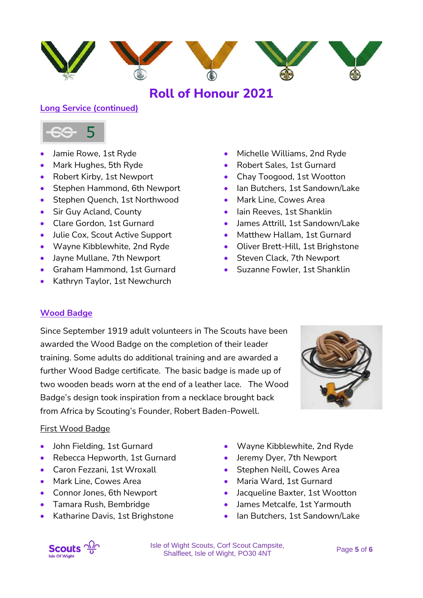

## **Long Service (continued)**



- Jamie Rowe, 1st Ryde
- Mark Hughes, 5th Ryde
- Robert Kirby, 1st Newport
- Stephen Hammond, 6th Newport
- Stephen Quench, 1st Northwood
- Sir Guy Acland, County
- Clare Gordon, 1st Gurnard
- Julie Cox, Scout Active Support
- Wayne Kibblewhite, 2nd Ryde
- Jayne Mullane, 7th Newport
- Graham Hammond, 1st Gurnard
- Kathryn Taylor, 1st Newchurch
- Michelle Williams, 2nd Ryde
- Robert Sales, 1st Gurnard
- Chay Toogood, 1st Wootton
- Ian Butchers, 1st Sandown/Lake
- Mark Line, Cowes Area
- Iain Reeves, 1st Shanklin
- James Attrill, 1st Sandown/Lake
- Matthew Hallam, 1st Gurnard
- Oliver Brett-Hill, 1st Brighstone
- Steven Clack, 7th Newport
- Suzanne Fowler, 1st Shanklin

# **Wood Badge**

Since September 1919 adult volunteers in The Scouts have been awarded the Wood Badge on the completion of their leader training. Some adults do additional training and are awarded a further Wood Badge certificate. The basic badge is made up of two wooden beads worn at the end of a leather lace. The Wood Badge's design took inspiration from a necklace brought back from Africa by Scouting's Founder, Robert Baden-Powell.



## First Wood Badge

- John Fielding, 1st Gurnard
- Rebecca Hepworth, 1st Gurnard
- Caron Fezzani, 1st Wroxall
- Mark Line, Cowes Area
- Connor Jones, 6th Newport
- Tamara Rush, Bembridge
- Katharine Davis, 1st Brighstone
- Wayne Kibblewhite, 2nd Ryde
- Jeremy Dyer, 7th Newport
- Stephen Neill, Cowes Area
- Maria Ward, 1st Gurnard
- Jacqueline Baxter, 1st Wootton
- James Metcalfe, 1st Yarmouth
- Ian Butchers, 1st Sandown/Lake



Isle of Wight Scouts, Corf Scout Campsite, Shalfleet, Isle of Wight, PO30 4NT Page **<sup>5</sup>** of **<sup>6</sup>**